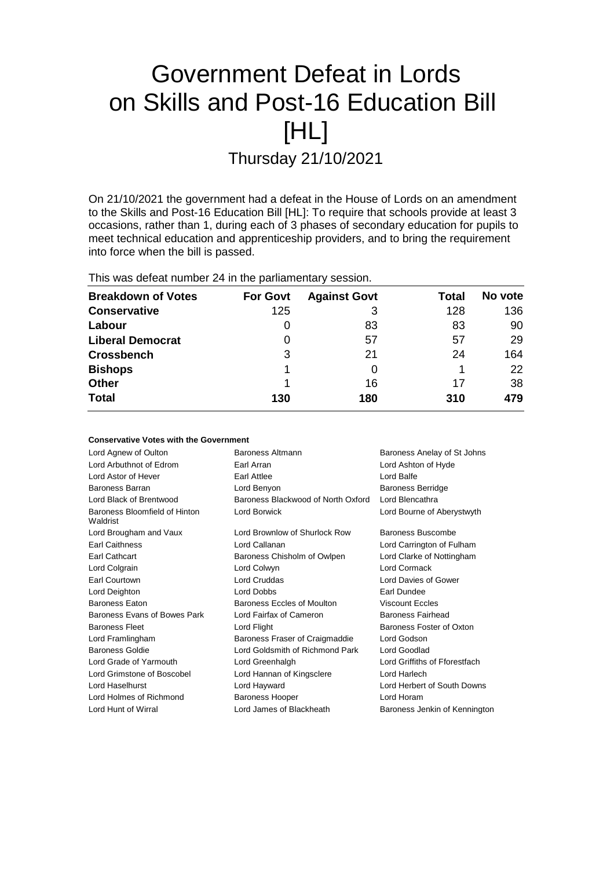# Government Defeat in Lords on Skills and Post-16 Education Bill [HL]

Thursday 21/10/2021

On 21/10/2021 the government had a defeat in the House of Lords on an amendment to the Skills and Post-16 Education Bill [HL]: To require that schools provide at least 3 occasions, rather than 1, during each of 3 phases of secondary education for pupils to meet technical education and apprenticeship providers, and to bring the requirement into force when the bill is passed.

This was defeat number 24 in the parliamentary session.

**Conservative Votes with the Government**

| <b>Breakdown of Votes</b> | <b>For Govt</b> | <b>Against Govt</b> | Total | No vote |
|---------------------------|-----------------|---------------------|-------|---------|
| <b>Conservative</b>       | 125             | 3                   | 128   | 136     |
| Labour                    | 0               | 83                  | 83    | 90      |
| <b>Liberal Democrat</b>   | 0               | 57                  | 57    | 29      |
| <b>Crossbench</b>         | 3               | 21                  | 24    | 164     |
| <b>Bishops</b>            |                 |                     |       | 22      |
| <b>Other</b>              |                 | 16                  | 17    | 38      |
| <b>Total</b>              | 130             | 180                 | 310   | 479     |

| OUNSCRYGUYG YOLGG WILL LIIG OUVGITHIIGHL  |                                    |                               |
|-------------------------------------------|------------------------------------|-------------------------------|
| Lord Agnew of Oulton                      | Baroness Altmann                   | Baroness Anelay of St Johns   |
| Lord Arbuthnot of Edrom                   | Earl Arran                         | Lord Ashton of Hyde           |
| Lord Astor of Hever                       | <b>Earl Attlee</b>                 | Lord Balfe                    |
| Baroness Barran                           | Lord Benyon                        | <b>Baroness Berridge</b>      |
| Lord Black of Brentwood                   | Baroness Blackwood of North Oxford | Lord Blencathra               |
| Baroness Bloomfield of Hinton<br>Waldrist | Lord Borwick                       | Lord Bourne of Aberystwyth    |
| Lord Brougham and Vaux                    | Lord Brownlow of Shurlock Row      | Baroness Buscombe             |
| Earl Caithness                            | Lord Callanan                      | Lord Carrington of Fulham     |
| Earl Cathcart                             | Baroness Chisholm of Owlpen        | Lord Clarke of Nottingham     |
| Lord Colgrain                             | Lord Colwyn                        | Lord Cormack                  |
| Earl Courtown                             | Lord Cruddas                       | Lord Davies of Gower          |
| Lord Deighton                             | Lord Dobbs                         | Earl Dundee                   |
| <b>Baroness Eaton</b>                     | Baroness Eccles of Moulton         | <b>Viscount Eccles</b>        |
| Baroness Evans of Bowes Park              | Lord Fairfax of Cameron            | Baroness Fairhead             |
| <b>Baroness Fleet</b>                     | Lord Flight                        | Baroness Foster of Oxton      |
| Lord Framlingham                          | Baroness Fraser of Craigmaddie     | Lord Godson                   |
| <b>Baroness Goldie</b>                    | Lord Goldsmith of Richmond Park    | Lord Goodlad                  |
| Lord Grade of Yarmouth                    | Lord Greenhalgh                    | Lord Griffiths of Fforestfach |
| Lord Grimstone of Boscobel                | Lord Hannan of Kingsclere          | Lord Harlech                  |
| Lord Haselhurst                           | Lord Hayward                       | Lord Herbert of South Downs   |
| Lord Holmes of Richmond                   | <b>Baroness Hooper</b>             | Lord Horam                    |
| Lord Hunt of Wirral                       | Lord James of Blackheath           | Baroness Jenkin of Kennington |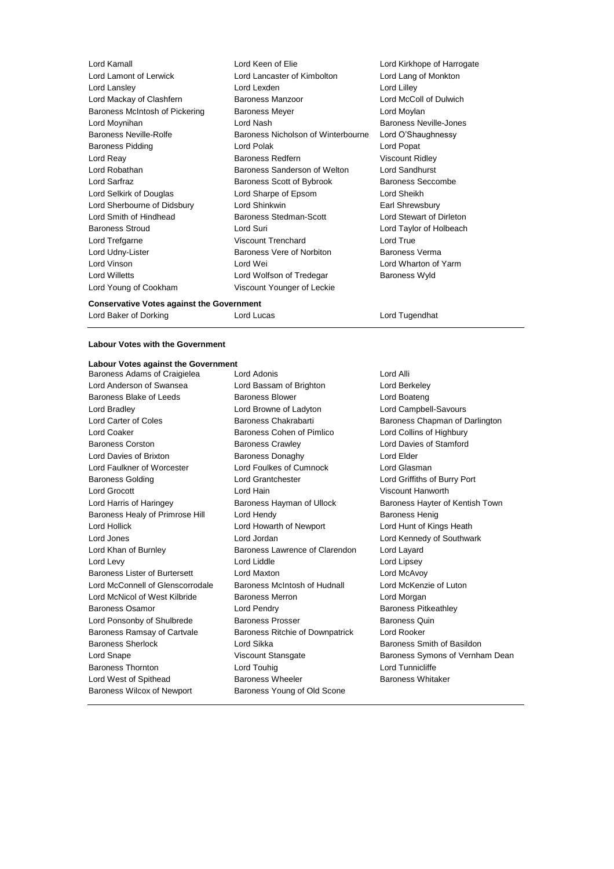| Lord Kamall                    | Lord Keen of Elie                  | Lord Kirkhope o         |
|--------------------------------|------------------------------------|-------------------------|
| Lord Lamont of Lerwick         | Lord Lancaster of Kimbolton        | Lord Lang of Mo         |
| Lord Lansley                   | Lord Lexden                        | Lord Lilley             |
| Lord Mackay of Clashfern       | <b>Baroness Manzoor</b>            | Lord McColl of D        |
| Baroness McIntosh of Pickering | <b>Baroness Meyer</b>              | Lord Moylan             |
| Lord Moynihan                  | Lord Nash                          | <b>Baroness Neville</b> |
| <b>Baroness Neville-Rolfe</b>  | Baroness Nicholson of Winterbourne | Lord O'Shaughr          |
| <b>Baroness Pidding</b>        | Lord Polak                         | Lord Popat              |
| Lord Reay                      | <b>Baroness Redfern</b>            | <b>Viscount Ridley</b>  |
| Lord Robathan                  | Baroness Sanderson of Welton       | Lord Sandhurst          |
| Lord Sarfraz                   | Baroness Scott of Bybrook          | <b>Baroness Secco</b>   |
| Lord Selkirk of Douglas        | Lord Sharpe of Epsom               | Lord Sheikh             |
| Lord Sherbourne of Didsbury    | Lord Shinkwin                      | Earl Shrewsbury         |
| Lord Smith of Hindhead         | <b>Baroness Stedman-Scott</b>      | Lord Stewart of         |
| <b>Baroness Stroud</b>         | Lord Suri                          | Lord Taylor of H        |
| Lord Trefgarne                 | <b>Viscount Trenchard</b>          | Lord True               |
| Lord Udny-Lister               | Baroness Vere of Norbiton          | <b>Baroness Verma</b>   |
| Lord Vinson                    | Lord Wei                           | Lord Wharton of         |
| <b>Lord Willetts</b>           | Lord Wolfson of Tredegar           | Baroness Wyld           |
| Lord Young of Cookham          | Viscount Younger of Leckie         |                         |
|                                |                                    |                         |

**Conservative Votes against the Government** Lord Baker of Dorking **Lord Lucas** Lord Lucas Lord Tugendhat

**Labour Votes with the Government**

#### **Labour Votes against the Government**

Lord Anderson of Swansea Lord Bassam of Brighton Lord Berkeley Baroness Blake of Leeds Baroness Blower Baroness Blower Lord Boateng Lord Bradley Lord Browne of Ladyton Lord Campbell-Savours Lord Carter of Coles **Baroness Chakrabarti** Baroness Chapman of Darlington Lord Coaker Baroness Cohen of Pimlico Lord Collins of Highbury Baroness Corston Baroness Crawley Lord Davies of Stamford Lord Davies of Brixton **Baroness Donaghy Lord Elder** Lord Faulkner of Worcester Lord Foulkes of Cumnock Lord Glasman Baroness Golding Lord Grantchester Lord Griffiths of Burry Port Lord Grocott **Lord Hain** Lord Hain Viscount Hanworth Lord Harris of Haringey **Baroness Hayman of Ullock** Baroness Hayter of Kentish Town Baroness Healy of Primrose Hill Lord Hendy Corporation Baroness Henig Lord Hollick Lord Howarth of Newport Lord Hunt of Kings Heath Lord Jones Lord Jordan Lord Kennedy of Southwark Lord Khan of Burnley Baroness Lawrence of Clarendon Lord Layard Lord Levy **Lord Liddle** Lord Liddle **Lord Lipsey** Baroness Lister of Burtersett Lord Maxton Lord McAvoy Lord McConnell of Glenscorrodale Baroness McIntosh of Hudnall Lord McKenzie of Luton Lord McNicol of West Kilbride Baroness Merron Lord Morgan Baroness Osamor **Baroness Osamor** Lord Pendry **Baroness Pitkeathley** Lord Ponsonby of Shulbrede Baroness Prosser Baroness Quin Baroness Ramsay of Cartvale Baroness Ritchie of Downpatrick Lord Rooker Baroness Sherlock **Exercise Sherlock** Lord Sikka **Baroness Smith of Basildon**<br>
Lord Snape Cord Stroness Symons of Vernha Baroness Thornton Lord Touhig Lord Tunnicliffe Lord West of Spithead **Baroness Wheeler** Baroness Wheeler Baroness Whitaker Baroness Wilcox of Newport Baroness Young of Old Scone

Baroness Adams of Craigielea Lord Adonis Lord Alli

Kirkhope of Harrogate Lang of Monkton McColl of Dulwich ness Neville-Jones O'Shaughnessy ness Seccombe Shrewsbury Stewart of Dirleton Taylor of Holbeach ness Verma Wharton of Yarm

Lord Snape **Viscount Stansgate** Baroness Symons of Vernham Dean